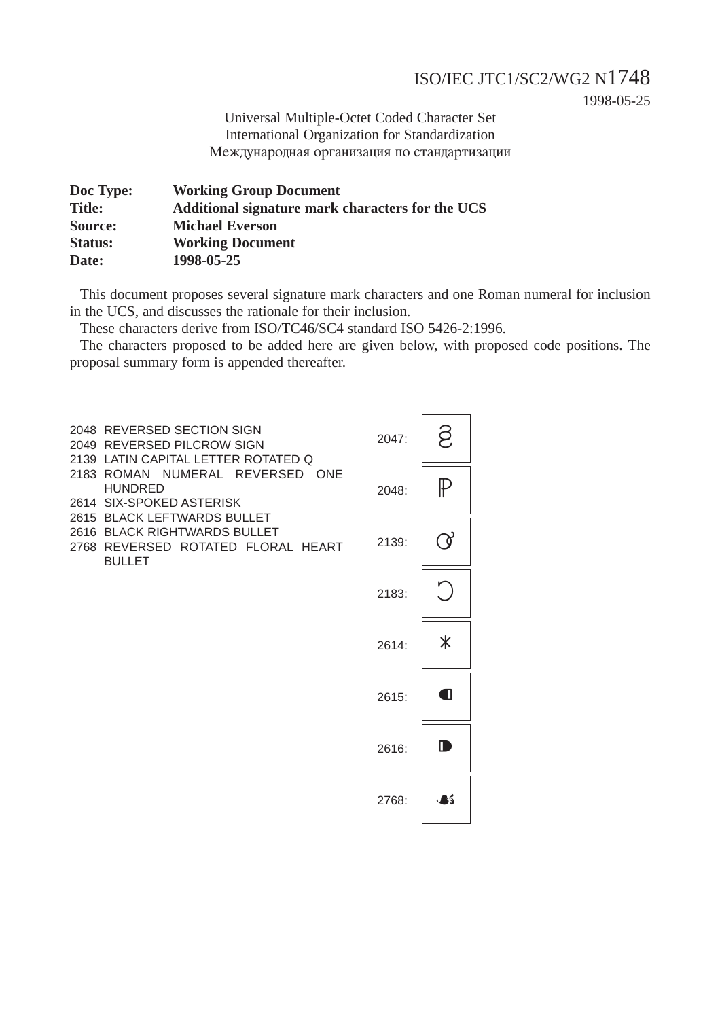### ISO/IEC JTC1/SC2/WG2 N1748

1998-05-25

Universal Multiple-Octet Coded Character Set International Organization for Standardization Международная организация по стандартизации

| <b>Working Group Document</b>                    |
|--------------------------------------------------|
| Additional signature mark characters for the UCS |
| <b>Michael Everson</b>                           |
| <b>Working Document</b>                          |
| 1998-05-25                                       |
|                                                  |

This document proposes several signature mark characters and one Roman numeral for inclusion in the UCS, and discusses the rationale for their inclusion.

These characters derive from ISO/TC46/SC4 standard ISO 5426-2:1996.

The characters proposed to be added here are given below, with proposed code positions. The proposal summary form is appended thereafter.

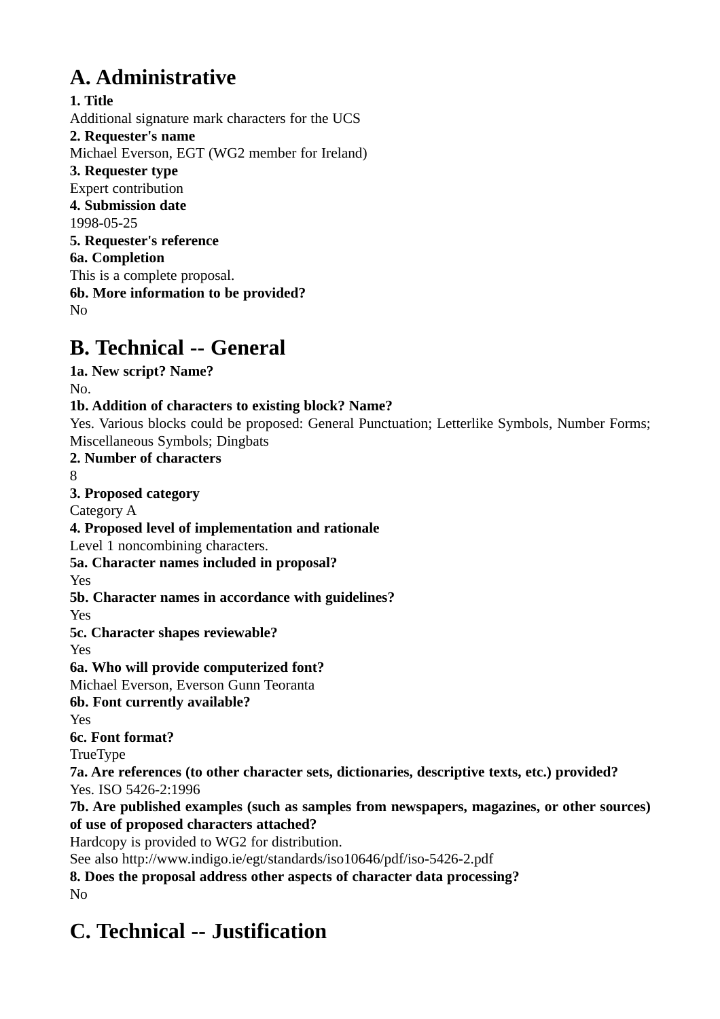# **A. Administrative**

**1. Title** Additional signature mark characters for the UCS **2. Requester's name** Michael Everson, EGT (WG2 member for Ireland) **3. Requester type** Expert contribution **4. Submission date** 1998-05-25 **5. Requester's reference 6a. Completion** This is a complete proposal. **6b. More information to be provided?** No

# **B. Technical -- General**

**1a. New script? Name?**

No.

## **1b. Addition of characters to existing block? Name?**

Yes. Various blocks could be proposed: General Punctuation; Letterlike Symbols, Number Forms; Miscellaneous Symbols; Dingbats

**2. Number of characters**

8

**3. Proposed category**

Category A

**4. Proposed level of implementation and rationale**

Level 1 noncombining characters.

**5a. Character names included in proposal?**

Yes

**5b. Character names in accordance with guidelines?**

Yes

**5c. Character shapes reviewable?**

Yes

**6a. Who will provide computerized font?**

Michael Everson, Everson Gunn Teoranta

**6b. Font currently available?**

Yes

**6c. Font format?**

TrueType

**7a. Are references (to other character sets, dictionaries, descriptive texts, etc.) provided?** Yes. ISO 5426-2:1996

**7b. Are published examples (such as samples from newspapers, magazines, or other sources) of use of proposed characters attached?**

Hardcopy is provided to WG2 for distribution.

See also http://www.indigo.ie/egt/standards/iso10646/pdf/iso-5426-2.pdf

**8. Does the proposal address other aspects of character data processing?** No

# **C. Technical -- Justification**